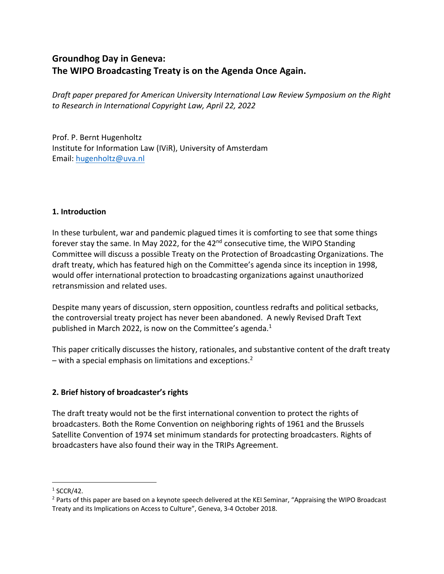# **Groundhog Day in Geneva: The WIPO Broadcasting Treaty is on the Agenda Once Again.**

*Draft paper prepared for American University International Law Review Symposium on the Right to Research in International Copyright Law, April 22, 2022*

Prof. P. Bernt Hugenholtz Institute for Information Law (IViR), University of Amsterdam Email: hugenholtz@uva.nl

#### **1. Introduction**

In these turbulent, war and pandemic plagued times it is comforting to see that some things forever stay the same. In May 2022, for the 42<sup>nd</sup> consecutive time, the WIPO Standing Committee will discuss a possible Treaty on the Protection of Broadcasting Organizations. The draft treaty, which has featured high on the Committee's agenda since its inception in 1998, would offer international protection to broadcasting organizations against unauthorized retransmission and related uses.

Despite many years of discussion, stern opposition, countless redrafts and political setbacks, the controversial treaty project has never been abandoned. A newly Revised Draft Text published in March 2022, is now on the Committee's agenda.<sup>1</sup>

This paper critically discusses the history, rationales, and substantive content of the draft treaty – with a special emphasis on limitations and exceptions.<sup>2</sup>

### **2. Brief history of broadcaster's rights**

The draft treaty would not be the first international convention to protect the rights of broadcasters. Both the Rome Convention on neighboring rights of 1961 and the Brussels Satellite Convention of 1974 set minimum standards for protecting broadcasters. Rights of broadcasters have also found their way in the TRIPs Agreement.

 $1$  SCCR/42.

<sup>&</sup>lt;sup>2</sup> Parts of this paper are based on a keynote speech delivered at the KEI Seminar, "Appraising the WIPO Broadcast Treaty and its Implications on Access to Culture", Geneva, 3-4 October 2018.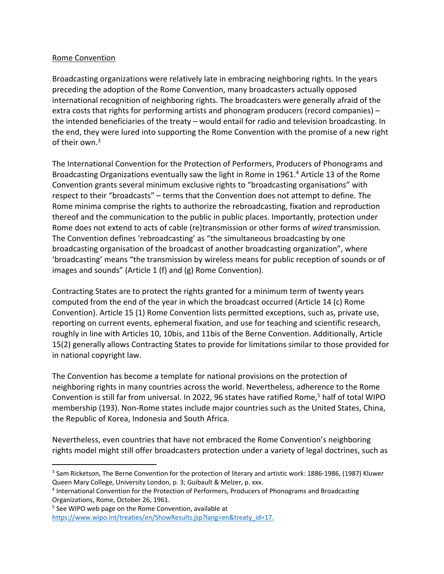#### Rome Convention

Broadcasting organizations were relatively late in embracing neighboring rights. In the years preceding the adoption of the Rome Convention, many broadcasters actually opposed international recognition of neighboring rights. The broadcasters were generally afraid of the extra costs that rights for performing artists and phonogram producers (record companies) – the intended beneficiaries of the treaty – would entail for radio and television broadcasting. In the end, they were lured into supporting the Rome Convention with the promise of a new right of their own.<sup>3</sup>

The International Convention for the Protection of Performers, Producers of Phonograms and Broadcasting Organizations eventually saw the light in Rome in 1961.4 Article 13 of the Rome Convention grants several minimum exclusive rights to "broadcasting organisations" with respect to their "broadcasts" – terms that the Convention does not attempt to define. The Rome minima comprise the rights to authorize the rebroadcasting, fixation and reproduction thereof and the communication to the public in public places. Importantly, protection under Rome does not extend to acts of cable (re)transmission or other forms of *wired* transmission. The Convention defines 'rebroadcasting' as "the simultaneous broadcasting by one broadcasting organisation of the broadcast of another broadcasting organization", where 'broadcasting' means "the transmission by wireless means for public reception of sounds or of images and sounds" (Article 1 (f) and (g) Rome Convention).

Contracting States are to protect the rights granted for a minimum term of twenty years computed from the end of the year in which the broadcast occurred (Article 14 (c) Rome Convention). Article 15 (1) Rome Convention lists permitted exceptions, such as, private use, reporting on current events, ephemeral fixation, and use for teaching and scientific research, roughly in line with Articles 10, 10bis, and 11bis of the Berne Convention. Additionally, Article 15(2) generally allows Contracting States to provide for limitations similar to those provided for in national copyright law.

The Convention has become a template for national provisions on the protection of neighboring rights in many countries across the world. Nevertheless, adherence to the Rome Convention is still far from universal. In 2022, 96 states have ratified Rome,<sup>5</sup> half of total WIPO membership (193). Non-Rome states include major countries such as the United States, China, the Republic of Korea, Indonesia and South Africa.

Nevertheless, even countries that have not embraced the Rome Convention's neighboring rights model might still offer broadcasters protection under a variety of legal doctrines, such as

<sup>&</sup>lt;sup>3</sup> Sam Ricketson, The Berne Convention for the protection of literary and artistic work: 1886-1986, (1987) Kluwer Queen Mary College, University London, p. 3; Guibault & Melzer, p. xxx.

<sup>4</sup> International Convention for the Protection of Performers, Producers of Phonograms and Broadcasting Organizations, Rome, October 26, 1961.

<sup>5</sup> See WIPO web page on the Rome Convention, available at https://www.wipo.int/treaties/en/ShowResults.jsp?lang=en&treaty\_id=17.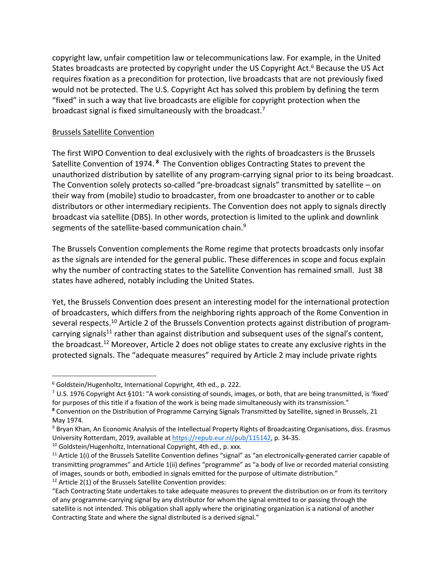copyright law, unfair competition law or telecommunications law. For example, in the United States broadcasts are protected by copyright under the US Copyright Act.<sup>6</sup> Because the US Act requires fixation as a precondition for protection, live broadcasts that are not previously fixed would not be protected. The U.S. Copyright Act has solved this problem by defining the term "fixed" in such a way that live broadcasts are eligible for copyright protection when the broadcast signal is fixed simultaneously with the broadcast.<sup>7</sup>

#### Brussels Satellite Convention

The first WIPO Convention to deal exclusively with the rights of broadcasters is the Brussels Satellite Convention of 1974. **<sup>8</sup>** The Convention obliges Contracting States to prevent the unauthorized distribution by satellite of any program-carrying signal prior to its being broadcast. The Convention solely protects so-called "pre-broadcast signals" transmitted by satellite – on their way from (mobile) studio to broadcaster, from one broadcaster to another or to cable distributors or other intermediary recipients. The Convention does not apply to signals directly broadcast via satellite (DBS). In other words, protection is limited to the uplink and downlink segments of the satellite-based communication chain.<sup>9</sup>

The Brussels Convention complements the Rome regime that protects broadcasts only insofar as the signals are intended for the general public. These differences in scope and focus explain why the number of contracting states to the Satellite Convention has remained small. Just 38 states have adhered, notably including the United States.

Yet, the Brussels Convention does present an interesting model for the international protection of broadcasters, which differs from the neighboring rights approach of the Rome Convention in several respects.<sup>10</sup> Article 2 of the Brussels Convention protects against distribution of programcarrying signals<sup>11</sup> rather than against distribution and subsequent uses of the signal's content, the broadcast.<sup>12</sup> Moreover, Article 2 does not oblige states to create any exclusive rights in the protected signals. The "adequate measures" required by Article 2 may include private rights

<sup>6</sup> Goldstein/Hugenholtz, International Copyright, 4th ed., p. 222.

 $7$  U.S. 1976 Copyright Act §101: "A work consisting of sounds, images, or both, that are being transmitted, is 'fixed' for purposes of this title if a fixation of the work is being made simultaneously with its transmission."

**<sup>8</sup>** Convention on the Distribution of Programme Carrying Signals Transmitted by Satellite, signed in Brussels, 21 May 1974.

<sup>9</sup> Bryan Khan, An Economic Analysis of the Intellectual Property Rights of Broadcasting Organisations, diss. Erasmus University Rotterdam, 2019, available at https://repub.eur.nl/pub/115142, p. 34-35.

<sup>&</sup>lt;sup>10</sup> Goldstein/Hugenholtz, International Copyright, 4th ed., p. xxx.

 $11$  Article 1(i) of the Brussels Satellite Convention defines "signal" as "an electronically-generated carrier capable of transmitting programmes" and Article 1(ii) defines "programme" as "a body of live or recorded material consisting of images, sounds or both, embodied in signals emitted for the purpose of ultimate distribution."

<sup>&</sup>lt;sup>12</sup> Article 2(1) of the Brussels Satellite Convention provides:

<sup>&</sup>quot;Each Contracting State undertakes to take adequate measures to prevent the distribution on or from its territory of any programme-carrying signal by any distributor for whom the signal emitted to or passing through the satellite is not intended. This obligation shall apply where the originating organization is a national of another Contracting State and where the signal distributed is a derived signal."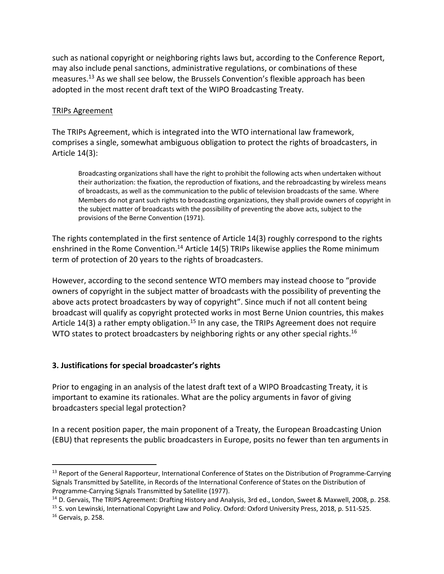such as national copyright or neighboring rights laws but, according to the Conference Report, may also include penal sanctions, administrative regulations, or combinations of these measures.13 As we shall see below, the Brussels Convention's flexible approach has been adopted in the most recent draft text of the WIPO Broadcasting Treaty.

#### TRIPs Agreement

The TRIPs Agreement, which is integrated into the WTO international law framework, comprises a single, somewhat ambiguous obligation to protect the rights of broadcasters, in Article 14(3):

Broadcasting organizations shall have the right to prohibit the following acts when undertaken without their authorization: the fixation, the reproduction of fixations, and the rebroadcasting by wireless means of broadcasts, as well as the communication to the public of television broadcasts of the same. Where Members do not grant such rights to broadcasting organizations, they shall provide owners of copyright in the subject matter of broadcasts with the possibility of preventing the above acts, subject to the provisions of the Berne Convention (1971).

The rights contemplated in the first sentence of Article 14(3) roughly correspond to the rights enshrined in the Rome Convention.<sup>14</sup> Article 14(5) TRIPs likewise applies the Rome minimum term of protection of 20 years to the rights of broadcasters.

However, according to the second sentence WTO members may instead choose to "provide owners of copyright in the subject matter of broadcasts with the possibility of preventing the above acts protect broadcasters by way of copyright". Since much if not all content being broadcast will qualify as copyright protected works in most Berne Union countries, this makes Article 14(3) a rather empty obligation.<sup>15</sup> In any case, the TRIPs Agreement does not require WTO states to protect broadcasters by neighboring rights or any other special rights.<sup>16</sup>

#### **3. Justifications for special broadcaster's rights**

Prior to engaging in an analysis of the latest draft text of a WIPO Broadcasting Treaty, it is important to examine its rationales. What are the policy arguments in favor of giving broadcasters special legal protection?

In a recent position paper, the main proponent of a Treaty, the European Broadcasting Union (EBU) that represents the public broadcasters in Europe, posits no fewer than ten arguments in

<sup>&</sup>lt;sup>13</sup> Report of the General Rapporteur, International Conference of States on the Distribution of Programme-Carrying Signals Transmitted by Satellite, in Records of the International Conference of States on the Distribution of Programme-Carrying Signals Transmitted by Satellite (1977).

<sup>&</sup>lt;sup>14</sup> D. Gervais, The TRIPS Agreement: Drafting History and Analysis, 3rd ed., London, Sweet & Maxwell, 2008, p. 258.

<sup>15</sup> S. von Lewinski, International Copyright Law and Policy. Oxford: Oxford University Press, 2018, p. 511-525. <sup>16</sup> Gervais, p. 258.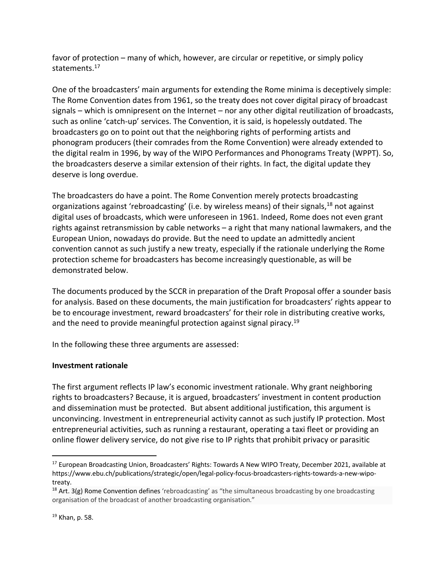favor of protection – many of which, however, are circular or repetitive, or simply policy statements. 17

One of the broadcasters' main arguments for extending the Rome minima is deceptively simple: The Rome Convention dates from 1961, so the treaty does not cover digital piracy of broadcast signals – which is omnipresent on the Internet – nor any other digital reutilization of broadcasts, such as online 'catch-up' services. The Convention, it is said, is hopelessly outdated. The broadcasters go on to point out that the neighboring rights of performing artists and phonogram producers (their comrades from the Rome Convention) were already extended to the digital realm in 1996, by way of the WIPO Performances and Phonograms Treaty (WPPT). So, the broadcasters deserve a similar extension of their rights. In fact, the digital update they deserve is long overdue.

The broadcasters do have a point. The Rome Convention merely protects broadcasting organizations against 'rebroadcasting' (i.e. by wireless means) of their signals,<sup>18</sup> not against digital uses of broadcasts, which were unforeseen in 1961. Indeed, Rome does not even grant rights against retransmission by cable networks – a right that many national lawmakers, and the European Union, nowadays do provide. But the need to update an admittedly ancient convention cannot as such justify a new treaty, especially if the rationale underlying the Rome protection scheme for broadcasters has become increasingly questionable, as will be demonstrated below.

The documents produced by the SCCR in preparation of the Draft Proposal offer a sounder basis for analysis. Based on these documents, the main justification for broadcasters' rights appear to be to encourage investment, reward broadcasters' for their role in distributing creative works, and the need to provide meaningful protection against signal piracy.<sup>19</sup>

In the following these three arguments are assessed:

### **Investment rationale**

The first argument reflects IP law's economic investment rationale. Why grant neighboring rights to broadcasters? Because, it is argued, broadcasters' investment in content production and dissemination must be protected. But absent additional justification, this argument is unconvincing. Investment in entrepreneurial activity cannot as such justify IP protection. Most entrepreneurial activities, such as running a restaurant, operating a taxi fleet or providing an online flower delivery service, do not give rise to IP rights that prohibit privacy or parasitic

<sup>&</sup>lt;sup>17</sup> European Broadcasting Union, Broadcasters' Rights: Towards A New WIPO Treaty, December 2021, available at https://www.ebu.ch/publications/strategic/open/legal-policy-focus-broadcasters-rights-towards-a-new-wipotreaty.

<sup>&</sup>lt;sup>18</sup> Art. 3(g) Rome Convention defines 'rebroadcasting' as "the simultaneous broadcasting by one broadcasting organisation of the broadcast of another broadcasting organisation."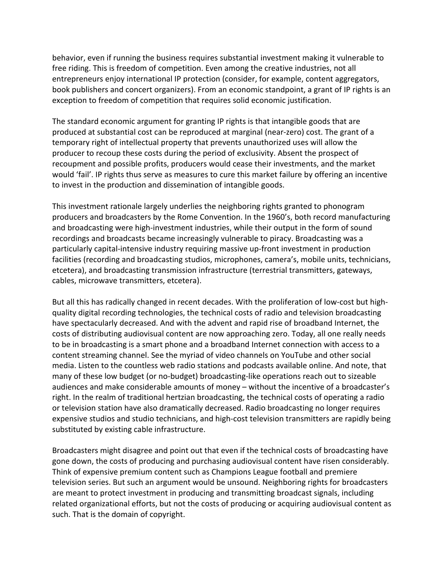behavior, even if running the business requires substantial investment making it vulnerable to free riding. This is freedom of competition. Even among the creative industries, not all entrepreneurs enjoy international IP protection (consider, for example, content aggregators, book publishers and concert organizers). From an economic standpoint, a grant of IP rights is an exception to freedom of competition that requires solid economic justification.

The standard economic argument for granting IP rights is that intangible goods that are produced at substantial cost can be reproduced at marginal (near-zero) cost. The grant of a temporary right of intellectual property that prevents unauthorized uses will allow the producer to recoup these costs during the period of exclusivity. Absent the prospect of recoupment and possible profits, producers would cease their investments, and the market would 'fail'. IP rights thus serve as measures to cure this market failure by offering an incentive to invest in the production and dissemination of intangible goods.

This investment rationale largely underlies the neighboring rights granted to phonogram producers and broadcasters by the Rome Convention. In the 1960's, both record manufacturing and broadcasting were high-investment industries, while their output in the form of sound recordings and broadcasts became increasingly vulnerable to piracy. Broadcasting was a particularly capital-intensive industry requiring massive up-front investment in production facilities (recording and broadcasting studios, microphones, camera's, mobile units, technicians, etcetera), and broadcasting transmission infrastructure (terrestrial transmitters, gateways, cables, microwave transmitters, etcetera).

But all this has radically changed in recent decades. With the proliferation of low-cost but highquality digital recording technologies, the technical costs of radio and television broadcasting have spectacularly decreased. And with the advent and rapid rise of broadband Internet, the costs of distributing audiovisual content are now approaching zero. Today, all one really needs to be in broadcasting is a smart phone and a broadband Internet connection with access to a content streaming channel. See the myriad of video channels on YouTube and other social media. Listen to the countless web radio stations and podcasts available online. And note, that many of these low budget (or no-budget) broadcasting-like operations reach out to sizeable audiences and make considerable amounts of money – without the incentive of a broadcaster's right. In the realm of traditional hertzian broadcasting, the technical costs of operating a radio or television station have also dramatically decreased. Radio broadcasting no longer requires expensive studios and studio technicians, and high-cost television transmitters are rapidly being substituted by existing cable infrastructure.

Broadcasters might disagree and point out that even if the technical costs of broadcasting have gone down, the costs of producing and purchasing audiovisual content have risen considerably. Think of expensive premium content such as Champions League football and premiere television series. But such an argument would be unsound. Neighboring rights for broadcasters are meant to protect investment in producing and transmitting broadcast signals, including related organizational efforts, but not the costs of producing or acquiring audiovisual content as such. That is the domain of copyright.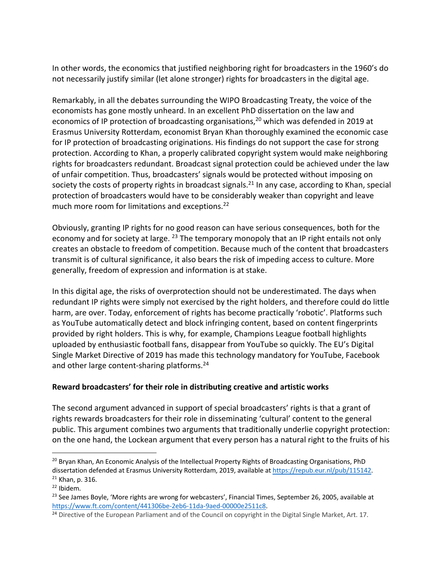In other words, the economics that justified neighboring right for broadcasters in the 1960's do not necessarily justify similar (let alone stronger) rights for broadcasters in the digital age.

Remarkably, in all the debates surrounding the WIPO Broadcasting Treaty, the voice of the economists has gone mostly unheard. In an excellent PhD dissertation on the law and economics of IP protection of broadcasting organisations,<sup>20</sup> which was defended in 2019 at Erasmus University Rotterdam, economist Bryan Khan thoroughly examined the economic case for IP protection of broadcasting originations. His findings do not support the case for strong protection. According to Khan, a properly calibrated copyright system would make neighboring rights for broadcasters redundant. Broadcast signal protection could be achieved under the law of unfair competition. Thus, broadcasters' signals would be protected without imposing on society the costs of property rights in broadcast signals.<sup>21</sup> In any case, according to Khan, special protection of broadcasters would have to be considerably weaker than copyright and leave much more room for limitations and exceptions.<sup>22</sup>

Obviously, granting IP rights for no good reason can have serious consequences, both for the economy and for society at large. <sup>23</sup> The temporary monopoly that an IP right entails not only creates an obstacle to freedom of competition. Because much of the content that broadcasters transmit is of cultural significance, it also bears the risk of impeding access to culture. More generally, freedom of expression and information is at stake.

In this digital age, the risks of overprotection should not be underestimated. The days when redundant IP rights were simply not exercised by the right holders, and therefore could do little harm, are over. Today, enforcement of rights has become practically 'robotic'. Platforms such as YouTube automatically detect and block infringing content, based on content fingerprints provided by right holders. This is why, for example, Champions League football highlights uploaded by enthusiastic football fans, disappear from YouTube so quickly. The EU's Digital Single Market Directive of 2019 has made this technology mandatory for YouTube, Facebook and other large content-sharing platforms.<sup>24</sup>

### **Reward broadcasters' for their role in distributing creative and artistic works**

The second argument advanced in support of special broadcasters' rights is that a grant of rights rewards broadcasters for their role in disseminating 'cultural' content to the general public. This argument combines two arguments that traditionally underlie copyright protection: on the one hand, the Lockean argument that every person has a natural right to the fruits of his

<sup>&</sup>lt;sup>20</sup> Bryan Khan, An Economic Analysis of the Intellectual Property Rights of Broadcasting Organisations, PhD dissertation defended at Erasmus University Rotterdam, 2019, available at https://repub.eur.nl/pub/115142.  $21$  Khan, p. 316.

 $22$  Ibidem.

 $^{23}$  See James Boyle, 'More rights are wrong for webcasters', Financial Times, September 26, 2005, available at https://www.ft.com/content/441306be-2eb6-11da-9aed-00000e2511c8.<br><sup>24</sup> Directive of the European Parliament and of the Council on copyright in the Digital Single Market, Art. 17.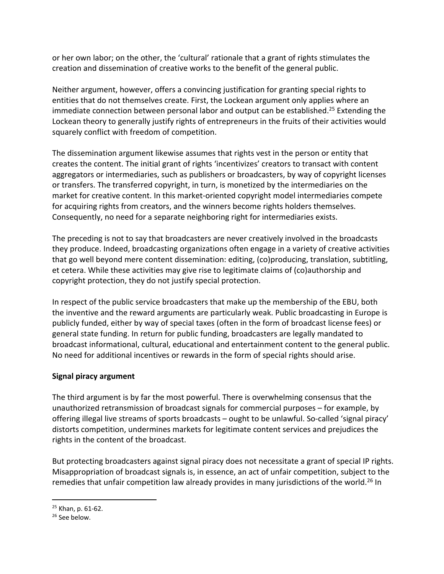or her own labor; on the other, the 'cultural' rationale that a grant of rights stimulates the creation and dissemination of creative works to the benefit of the general public.

Neither argument, however, offers a convincing justification for granting special rights to entities that do not themselves create. First, the Lockean argument only applies where an immediate connection between personal labor and output can be established.<sup>25</sup> Extending the Lockean theory to generally justify rights of entrepreneurs in the fruits of their activities would squarely conflict with freedom of competition.

The dissemination argument likewise assumes that rights vest in the person or entity that creates the content. The initial grant of rights 'incentivizes' creators to transact with content aggregators or intermediaries, such as publishers or broadcasters, by way of copyright licenses or transfers. The transferred copyright, in turn, is monetized by the intermediaries on the market for creative content. In this market-oriented copyright model intermediaries compete for acquiring rights from creators, and the winners become rights holders themselves. Consequently, no need for a separate neighboring right for intermediaries exists.

The preceding is not to say that broadcasters are never creatively involved in the broadcasts they produce. Indeed, broadcasting organizations often engage in a variety of creative activities that go well beyond mere content dissemination: editing, (co)producing, translation, subtitling, et cetera. While these activities may give rise to legitimate claims of (co)authorship and copyright protection, they do not justify special protection.

In respect of the public service broadcasters that make up the membership of the EBU, both the inventive and the reward arguments are particularly weak. Public broadcasting in Europe is publicly funded, either by way of special taxes (often in the form of broadcast license fees) or general state funding. In return for public funding, broadcasters are legally mandated to broadcast informational, cultural, educational and entertainment content to the general public. No need for additional incentives or rewards in the form of special rights should arise.

#### **Signal piracy argument**

The third argument is by far the most powerful. There is overwhelming consensus that the unauthorized retransmission of broadcast signals for commercial purposes – for example, by offering illegal live streams of sports broadcasts – ought to be unlawful. So-called 'signal piracy' distorts competition, undermines markets for legitimate content services and prejudices the rights in the content of the broadcast.

But protecting broadcasters against signal piracy does not necessitate a grant of special IP rights. Misappropriation of broadcast signals is, in essence, an act of unfair competition, subject to the remedies that unfair competition law already provides in many jurisdictions of the world.<sup>26</sup> In

<sup>25</sup> Khan, p. 61-62.

 $26$  See below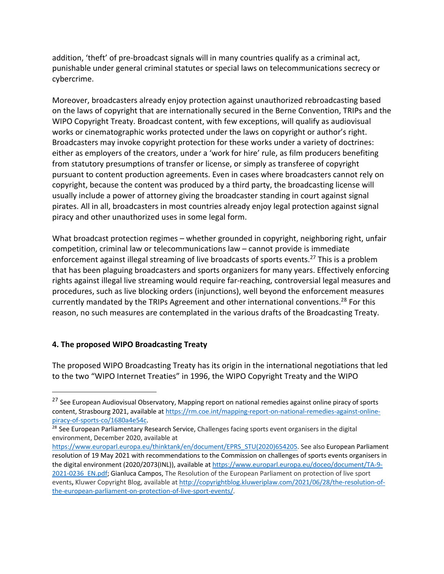addition, 'theft' of pre-broadcast signals will in many countries qualify as a criminal act, punishable under general criminal statutes or special laws on telecommunications secrecy or cybercrime.

Moreover, broadcasters already enjoy protection against unauthorized rebroadcasting based on the laws of copyright that are internationally secured in the Berne Convention, TRIPs and the WIPO Copyright Treaty. Broadcast content, with few exceptions, will qualify as audiovisual works or cinematographic works protected under the laws on copyright or author's right. Broadcasters may invoke copyright protection for these works under a variety of doctrines: either as employers of the creators, under a 'work for hire' rule, as film producers benefiting from statutory presumptions of transfer or license, or simply as transferee of copyright pursuant to content production agreements. Even in cases where broadcasters cannot rely on copyright, because the content was produced by a third party, the broadcasting license will usually include a power of attorney giving the broadcaster standing in court against signal pirates. All in all, broadcasters in most countries already enjoy legal protection against signal piracy and other unauthorized uses in some legal form.

What broadcast protection regimes – whether grounded in copyright, neighboring right, unfair competition, criminal law or telecommunications law – cannot provide is immediate enforcement against illegal streaming of live broadcasts of sports events.<sup>27</sup> This is a problem that has been plaguing broadcasters and sports organizers for many years. Effectively enforcing rights against illegal live streaming would require far-reaching, controversial legal measures and procedures, such as live blocking orders (injunctions), well beyond the enforcement measures currently mandated by the TRIPs Agreement and other international conventions.<sup>28</sup> For this reason, no such measures are contemplated in the various drafts of the Broadcasting Treaty.

### **4. The proposed WIPO Broadcasting Treaty**

The proposed WIPO Broadcasting Treaty has its origin in the international negotiations that led to the two "WIPO Internet Treaties" in 1996, the WIPO Copyright Treaty and the WIPO

<sup>&</sup>lt;sup>27</sup> See European Audiovisual Observatory, Mapping report on national remedies against online piracy of sports content, Strasbourg 2021, available at https://rm.coe.int/mapping-report-on-national-remedies-against-onlinepiracy-of-sports-co/1680a4e54c.<br><sup>28</sup> See European Parliamentary Research Service, Challenges facing sports event organisers in the digital

environment, December 2020, available at

https://www.europarl.europa.eu/thinktank/en/document/EPRS\_STU(2020)654205. See also European Parliament resolution of 19 May 2021 with recommendations to the Commission on challenges of sports events organisers in the digital environment (2020/2073(INL)), available at https://www.europarl.europa.eu/doceo/document/TA-9- 2021-0236\_EN.pdf; Gianluca Campos, The Resolution of the European Parliament on protection of live sport events**,** Kluwer Copyright Blog, available at http://copyrightblog.kluweriplaw.com/2021/06/28/the-resolution-ofthe-european-parliament-on-protection-of-live-sport-events/.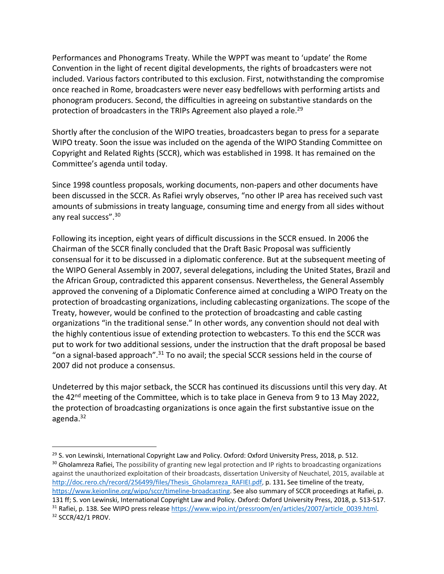Performances and Phonograms Treaty. While the WPPT was meant to 'update' the Rome Convention in the light of recent digital developments, the rights of broadcasters were not included. Various factors contributed to this exclusion. First, notwithstanding the compromise once reached in Rome, broadcasters were never easy bedfellows with performing artists and phonogram producers. Second, the difficulties in agreeing on substantive standards on the protection of broadcasters in the TRIPs Agreement also played a role.<sup>29</sup>

Shortly after the conclusion of the WIPO treaties, broadcasters began to press for a separate WIPO treaty. Soon the issue was included on the agenda of the WIPO Standing Committee on Copyright and Related Rights (SCCR), which was established in 1998. It has remained on the Committee's agenda until today.

Since 1998 countless proposals, working documents, non-papers and other documents have been discussed in the SCCR. As Rafiei wryly observes, "no other IP area has received such vast amounts of submissions in treaty language, consuming time and energy from all sides without any real success".<sup>30</sup>

Following its inception, eight years of difficult discussions in the SCCR ensued. In 2006 the Chairman of the SCCR finally concluded that the Draft Basic Proposal was sufficiently consensual for it to be discussed in a diplomatic conference. But at the subsequent meeting of the WIPO General Assembly in 2007, several delegations, including the United States, Brazil and the African Group, contradicted this apparent consensus. Nevertheless, the General Assembly approved the convening of a Diplomatic Conference aimed at concluding a WIPO Treaty on the protection of broadcasting organizations, including cablecasting organizations. The scope of the Treaty, however, would be confined to the protection of broadcasting and cable casting organizations "in the traditional sense." In other words, any convention should not deal with the highly contentious issue of extending protection to webcasters. To this end the SCCR was put to work for two additional sessions, under the instruction that the draft proposal be based "on a signal-based approach".<sup>31</sup> To no avail; the special SCCR sessions held in the course of 2007 did not produce a consensus.

Undeterred by this major setback, the SCCR has continued its discussions until this very day. At the 42<sup>nd</sup> meeting of the Committee, which is to take place in Geneva from 9 to 13 May 2022, the protection of broadcasting organizations is once again the first substantive issue on the agenda.<sup>32</sup>

<sup>&</sup>lt;sup>29</sup> S. von Lewinski, International Copyright Law and Policy. Oxford: Oxford University Press, 2018, p. 512. <sup>30</sup> Gholamreza Rafiei, The possibility of granting new legal protection and IP rights to broadcasting organizations against the unauthorized exploitation of their broadcasts, dissertation University of Neuchatel, 2015, available at http://doc.rero.ch/record/256499/files/Thesis\_Gholamreza\_RAFIEI.pdf, p. 131**.** See timeline of the treaty, https://www.keionline.org/wipo/sccr/timeline-broadcasting. See also summary of SCCR proceedings at Rafiei, p. 131 ff; S. von Lewinski, International Copyright Law and Policy. Oxford: Oxford University Press, 2018, p. 513-517. <sup>31</sup> Rafiei, p. 138. See WIPO press release https://www.wipo.int/pressroom/en/articles/2007/article\_0039.html.

<sup>&</sup>lt;sup>32</sup> SCCR/42/1 PROV.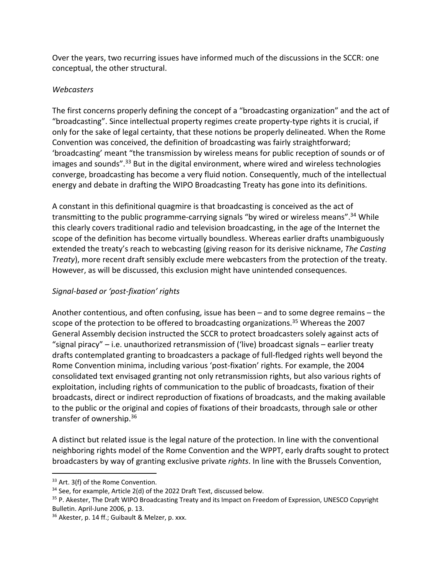Over the years, two recurring issues have informed much of the discussions in the SCCR: one conceptual, the other structural.

### *Webcasters*

The first concerns properly defining the concept of a "broadcasting organization" and the act of "broadcasting". Since intellectual property regimes create property-type rights it is crucial, if only for the sake of legal certainty, that these notions be properly delineated. When the Rome Convention was conceived, the definition of broadcasting was fairly straightforward; 'broadcasting' meant "the transmission by wireless means for public reception of sounds or of images and sounds".<sup>33</sup> But in the digital environment, where wired and wireless technologies converge, broadcasting has become a very fluid notion. Consequently, much of the intellectual energy and debate in drafting the WIPO Broadcasting Treaty has gone into its definitions.

A constant in this definitional quagmire is that broadcasting is conceived as the act of transmitting to the public programme-carrying signals "by wired or wireless means".<sup>34</sup> While this clearly covers traditional radio and television broadcasting, in the age of the Internet the scope of the definition has become virtually boundless. Whereas earlier drafts unambiguously extended the treaty's reach to webcasting (giving reason for its derisive nickname, *The Casting Treaty*), more recent draft sensibly exclude mere webcasters from the protection of the treaty. However, as will be discussed, this exclusion might have unintended consequences.

## *Signal-based or 'post-fixation' rights*

Another contentious, and often confusing, issue has been – and to some degree remains – the scope of the protection to be offered to broadcasting organizations.<sup>35</sup> Whereas the 2007 General Assembly decision instructed the SCCR to protect broadcasters solely against acts of "signal piracy" – i.e. unauthorized retransmission of ('live) broadcast signals – earlier treaty drafts contemplated granting to broadcasters a package of full-fledged rights well beyond the Rome Convention minima, including various 'post-fixation' rights. For example, the 2004 consolidated text envisaged granting not only retransmission rights, but also various rights of exploitation, including rights of communication to the public of broadcasts, fixation of their broadcasts, direct or indirect reproduction of fixations of broadcasts, and the making available to the public or the original and copies of fixations of their broadcasts, through sale or other transfer of ownership.<sup>36</sup>

A distinct but related issue is the legal nature of the protection. In line with the conventional neighboring rights model of the Rome Convention and the WPPT, early drafts sought to protect broadcasters by way of granting exclusive private *rights*. In line with the Brussels Convention,

<sup>&</sup>lt;sup>33</sup> Art. 3(f) of the Rome Convention.

<sup>&</sup>lt;sup>34</sup> See, for example, Article 2(d) of the 2022 Draft Text, discussed below.

<sup>&</sup>lt;sup>35</sup> P. Akester, The Draft WIPO Broadcasting Treaty and its Impact on Freedom of Expression, UNESCO Copyright Bulletin. April-June 2006, p. 13.

<sup>&</sup>lt;sup>36</sup> Akester, p. 14 ff.; Guibault & Melzer, p. xxx.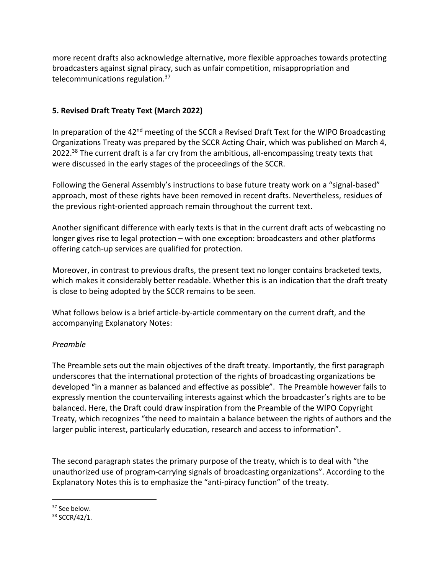more recent drafts also acknowledge alternative, more flexible approaches towards protecting broadcasters against signal piracy, such as unfair competition, misappropriation and telecommunications regulation.37

### **5. Revised Draft Treaty Text (March 2022)**

In preparation of the 42<sup>nd</sup> meeting of the SCCR a Revised Draft Text for the WIPO Broadcasting Organizations Treaty was prepared by the SCCR Acting Chair, which was published on March 4, 2022.<sup>38</sup> The current draft is a far cry from the ambitious, all-encompassing treaty texts that were discussed in the early stages of the proceedings of the SCCR.

Following the General Assembly's instructions to base future treaty work on a "signal-based" approach, most of these rights have been removed in recent drafts. Nevertheless, residues of the previous right-oriented approach remain throughout the current text.

Another significant difference with early texts is that in the current draft acts of webcasting no longer gives rise to legal protection – with one exception: broadcasters and other platforms offering catch-up services are qualified for protection.

Moreover, in contrast to previous drafts, the present text no longer contains bracketed texts, which makes it considerably better readable. Whether this is an indication that the draft treaty is close to being adopted by the SCCR remains to be seen.

What follows below is a brief article-by-article commentary on the current draft, and the accompanying Explanatory Notes:

### *Preamble*

The Preamble sets out the main objectives of the draft treaty. Importantly, the first paragraph underscores that the international protection of the rights of broadcasting organizations be developed "in a manner as balanced and effective as possible". The Preamble however fails to expressly mention the countervailing interests against which the broadcaster's rights are to be balanced. Here, the Draft could draw inspiration from the Preamble of the WIPO Copyright Treaty, which recognizes "the need to maintain a balance between the rights of authors and the larger public interest, particularly education, research and access to information".

The second paragraph states the primary purpose of the treaty, which is to deal with "the unauthorized use of program-carrying signals of broadcasting organizations". According to the Explanatory Notes this is to emphasize the "anti-piracy function" of the treaty.

<sup>&</sup>lt;sup>37</sup> See below.

<sup>38</sup> SCCR/42/1.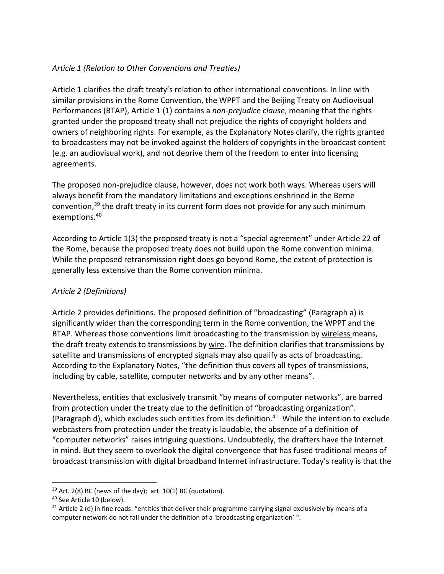### *Article 1 (Relation to Other Conventions and Treaties)*

Article 1 clarifies the draft treaty's relation to other international conventions. In line with similar provisions in the Rome Convention, the WPPT and the Beijing Treaty on Audiovisual Performances (BTAP), Article 1 (1) contains a *non-prejudice clause*, meaning that the rights granted under the proposed treaty shall not prejudice the rights of copyright holders and owners of neighboring rights. For example, as the Explanatory Notes clarify, the rights granted to broadcasters may not be invoked against the holders of copyrights in the broadcast content (e.g. an audiovisual work), and not deprive them of the freedom to enter into licensing agreements.

The proposed non-prejudice clause, however, does not work both ways. Whereas users will always benefit from the mandatory limitations and exceptions enshrined in the Berne convention,<sup>39</sup> the draft treaty in its current form does not provide for any such minimum exemptions.40

According to Article 1(3) the proposed treaty is not a "special agreement" under Article 22 of the Rome, because the proposed treaty does not build upon the Rome convention minima. While the proposed retransmission right does go beyond Rome, the extent of protection is generally less extensive than the Rome convention minima.

### *Article 2 (Definitions)*

Article 2 provides definitions. The proposed definition of "broadcasting" (Paragraph a) is significantly wider than the corresponding term in the Rome convention, the WPPT and the BTAP. Whereas those conventions limit broadcasting to the transmission by wireless means, the draft treaty extends to transmissions by wire. The definition clarifies that transmissions by satellite and transmissions of encrypted signals may also qualify as acts of broadcasting. According to the Explanatory Notes, "the definition thus covers all types of transmissions, including by cable, satellite, computer networks and by any other means".

Nevertheless, entities that exclusively transmit "by means of computer networks", are barred from protection under the treaty due to the definition of "broadcasting organization". (Paragraph d), which excludes such entities from its definition. $41$  While the intention to exclude webcasters from protection under the treaty is laudable, the absence of a definition of "computer networks" raises intriguing questions. Undoubtedly, the drafters have the Internet in mind. But they seem to overlook the digital convergence that has fused traditional means of broadcast transmission with digital broadband Internet infrastructure. Today's reality is that the

 $39$  Art. 2(8) BC (news of the day); art. 10(1) BC (quotation).

<sup>40</sup> See Article 10 (below).

 $41$  Article 2 (d) in fine reads: "entities that deliver their programme-carrying signal exclusively by means of a computer network do not fall under the definition of a 'broadcasting organization' ".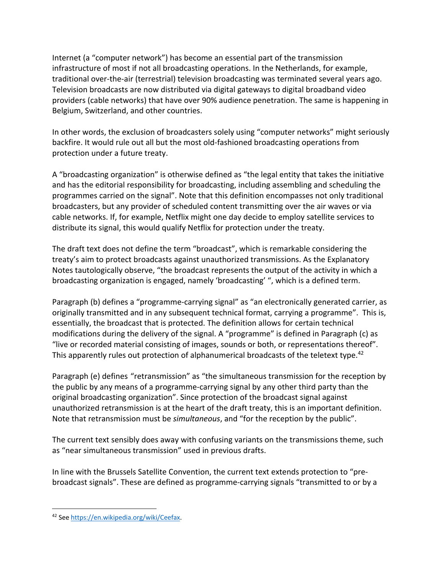Internet (a "computer network") has become an essential part of the transmission infrastructure of most if not all broadcasting operations. In the Netherlands, for example, traditional over-the-air (terrestrial) television broadcasting was terminated several years ago. Television broadcasts are now distributed via digital gateways to digital broadband video providers (cable networks) that have over 90% audience penetration. The same is happening in Belgium, Switzerland, and other countries.

In other words, the exclusion of broadcasters solely using "computer networks" might seriously backfire. It would rule out all but the most old-fashioned broadcasting operations from protection under a future treaty.

A "broadcasting organization" is otherwise defined as "the legal entity that takes the initiative and has the editorial responsibility for broadcasting, including assembling and scheduling the programmes carried on the signal". Note that this definition encompasses not only traditional broadcasters, but any provider of scheduled content transmitting over the air waves or via cable networks. If, for example, Netflix might one day decide to employ satellite services to distribute its signal, this would qualify Netflix for protection under the treaty.

The draft text does not define the term "broadcast", which is remarkable considering the treaty's aim to protect broadcasts against unauthorized transmissions. As the Explanatory Notes tautologically observe, "the broadcast represents the output of the activity in which a broadcasting organization is engaged, namely 'broadcasting' ", which is a defined term.

Paragraph (b) defines a "programme-carrying signal" as "an electronically generated carrier, as originally transmitted and in any subsequent technical format, carrying a programme". This is, essentially, the broadcast that is protected. The definition allows for certain technical modifications during the delivery of the signal. A "programme" is defined in Paragraph (c) as "live or recorded material consisting of images, sounds or both, or representations thereof". This apparently rules out protection of alphanumerical broadcasts of the teletext type.<sup>42</sup>

Paragraph (e) defines "retransmission" as "the simultaneous transmission for the reception by the public by any means of a programme-carrying signal by any other third party than the original broadcasting organization". Since protection of the broadcast signal against unauthorized retransmission is at the heart of the draft treaty, this is an important definition. Note that retransmission must be *simultaneous*, and "for the reception by the public".

The current text sensibly does away with confusing variants on the transmissions theme, such as "near simultaneous transmission" used in previous drafts.

In line with the Brussels Satellite Convention, the current text extends protection to "prebroadcast signals". These are defined as programme-carrying signals "transmitted to or by a

<sup>42</sup> See https://en.wikipedia.org/wiki/Ceefax.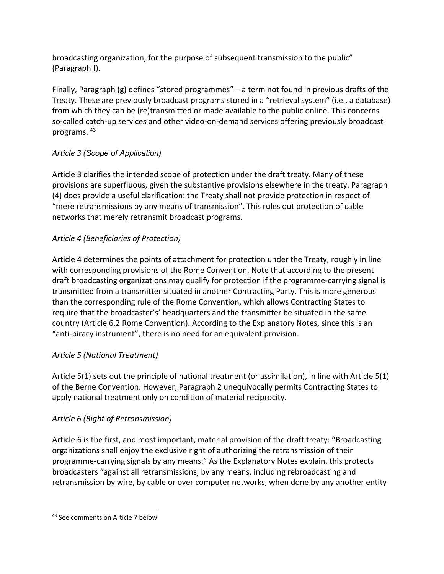broadcasting organization, for the purpose of subsequent transmission to the public" (Paragraph f).

Finally, Paragraph (g) defines "stored programmes" – a term not found in previous drafts of the Treaty. These are previously broadcast programs stored in a "retrieval system" (i.e., a database) from which they can be (re)transmitted or made available to the public online. This concerns so-called catch-up services and other video-on-demand services offering previously broadcast programs. 43

## *Article 3 (Scope of Application)*

Article 3 clarifies the intended scope of protection under the draft treaty. Many of these provisions are superfluous, given the substantive provisions elsewhere in the treaty. Paragraph (4) does provide a useful clarification: the Treaty shall not provide protection in respect of "mere retransmissions by any means of transmission". This rules out protection of cable networks that merely retransmit broadcast programs.

## *Article 4 (Beneficiaries of Protection)*

Article 4 determines the points of attachment for protection under the Treaty, roughly in line with corresponding provisions of the Rome Convention. Note that according to the present draft broadcasting organizations may qualify for protection if the programme-carrying signal is transmitted from a transmitter situated in another Contracting Party. This is more generous than the corresponding rule of the Rome Convention, which allows Contracting States to require that the broadcaster's' headquarters and the transmitter be situated in the same country (Article 6.2 Rome Convention). According to the Explanatory Notes, since this is an "anti-piracy instrument", there is no need for an equivalent provision.

## *Article 5 (National Treatment)*

Article 5(1) sets out the principle of national treatment (or assimilation), in line with Article 5(1) of the Berne Convention. However, Paragraph 2 unequivocally permits Contracting States to apply national treatment only on condition of material reciprocity.

## *Article 6 (Right of Retransmission)*

Article 6 is the first, and most important, material provision of the draft treaty: "Broadcasting organizations shall enjoy the exclusive right of authorizing the retransmission of their programme-carrying signals by any means." As the Explanatory Notes explain, this protects broadcasters "against all retransmissions, by any means, including rebroadcasting and retransmission by wire, by cable or over computer networks, when done by any another entity

<sup>43</sup> See comments on Article 7 below.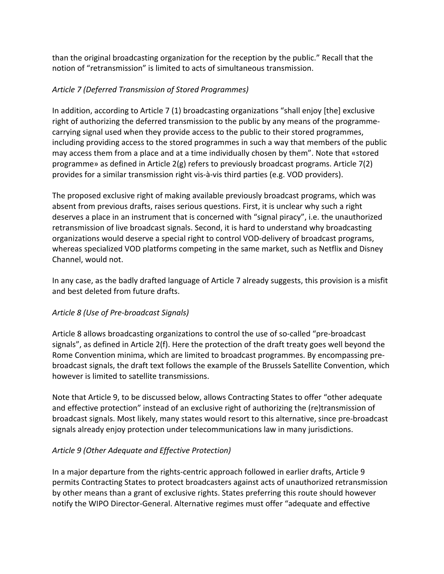than the original broadcasting organization for the reception by the public." Recall that the notion of "retransmission" is limited to acts of simultaneous transmission.

## *Article 7 (Deferred Transmission of Stored Programmes)*

In addition, according to Article 7 (1) broadcasting organizations "shall enjoy [the] exclusive right of authorizing the deferred transmission to the public by any means of the programmecarrying signal used when they provide access to the public to their stored programmes, including providing access to the stored programmes in such a way that members of the public may access them from a place and at a time individually chosen by them". Note that «stored programme» as defined in Article 2(g) refers to previously broadcast programs. Article 7(2) provides for a similar transmission right vis-à-vis third parties (e.g. VOD providers).

The proposed exclusive right of making available previously broadcast programs, which was absent from previous drafts, raises serious questions. First, it is unclear why such a right deserves a place in an instrument that is concerned with "signal piracy", i.e. the unauthorized retransmission of live broadcast signals. Second, it is hard to understand why broadcasting organizations would deserve a special right to control VOD-delivery of broadcast programs, whereas specialized VOD platforms competing in the same market, such as Netflix and Disney Channel, would not.

In any case, as the badly drafted language of Article 7 already suggests, this provision is a misfit and best deleted from future drafts.

### *Article 8 (Use of Pre-broadcast Signals)*

Article 8 allows broadcasting organizations to control the use of so-called "pre-broadcast signals", as defined in Article 2(f). Here the protection of the draft treaty goes well beyond the Rome Convention minima, which are limited to broadcast programmes. By encompassing prebroadcast signals, the draft text follows the example of the Brussels Satellite Convention, which however is limited to satellite transmissions.

Note that Article 9, to be discussed below, allows Contracting States to offer "other adequate and effective protection" instead of an exclusive right of authorizing the (re)transmission of broadcast signals. Most likely, many states would resort to this alternative, since pre-broadcast signals already enjoy protection under telecommunications law in many jurisdictions.

## *Article 9 (Other Adequate and Effective Protection)*

In a major departure from the rights-centric approach followed in earlier drafts, Article 9 permits Contracting States to protect broadcasters against acts of unauthorized retransmission by other means than a grant of exclusive rights. States preferring this route should however notify the WIPO Director-General. Alternative regimes must offer "adequate and effective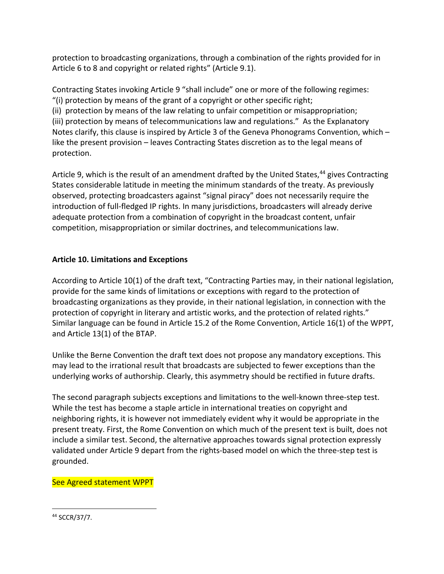protection to broadcasting organizations, through a combination of the rights provided for in Article 6 to 8 and copyright or related rights" (Article 9.1).

Contracting States invoking Article 9 "shall include" one or more of the following regimes: "(i) protection by means of the grant of a copyright or other specific right; (ii) protection by means of the law relating to unfair competition or misappropriation;

(iii) protection by means of telecommunications law and regulations." As the Explanatory Notes clarify, this clause is inspired by Article 3 of the Geneva Phonograms Convention, which – like the present provision – leaves Contracting States discretion as to the legal means of protection.

Article 9, which is the result of an amendment drafted by the United States, $44$  gives Contracting States considerable latitude in meeting the minimum standards of the treaty. As previously observed, protecting broadcasters against "signal piracy" does not necessarily require the introduction of full-fledged IP rights. In many jurisdictions, broadcasters will already derive adequate protection from a combination of copyright in the broadcast content, unfair competition, misappropriation or similar doctrines, and telecommunications law.

### **Article 10. Limitations and Exceptions**

According to Article 10(1) of the draft text, "Contracting Parties may, in their national legislation, provide for the same kinds of limitations or exceptions with regard to the protection of broadcasting organizations as they provide, in their national legislation, in connection with the protection of copyright in literary and artistic works, and the protection of related rights." Similar language can be found in Article 15.2 of the Rome Convention, Article 16(1) of the WPPT, and Article 13(1) of the BTAP.

Unlike the Berne Convention the draft text does not propose any mandatory exceptions. This may lead to the irrational result that broadcasts are subjected to fewer exceptions than the underlying works of authorship. Clearly, this asymmetry should be rectified in future drafts.

The second paragraph subjects exceptions and limitations to the well-known three-step test. While the test has become a staple article in international treaties on copyright and neighboring rights, it is however not immediately evident why it would be appropriate in the present treaty. First, the Rome Convention on which much of the present text is built, does not include a similar test. Second, the alternative approaches towards signal protection expressly validated under Article 9 depart from the rights-based model on which the three-step test is grounded.

## See Agreed statement WPPT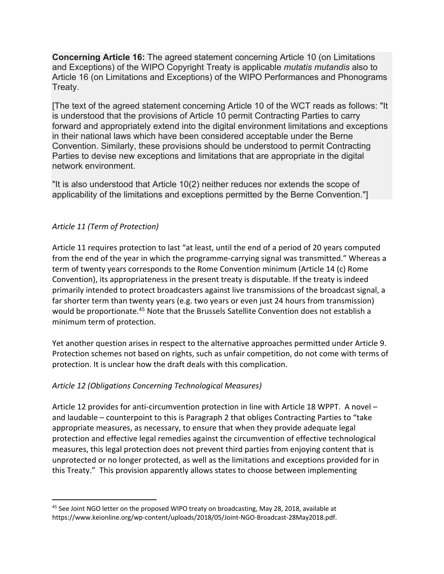**Concerning Article 16:** The agreed statement concerning Article 10 (on Limitations and Exceptions) of the WIPO Copyright Treaty is applicable *mutatis mutandis* also to Article 16 (on Limitations and Exceptions) of the WIPO Performances and Phonograms Treaty.

[The text of the agreed statement concerning Article 10 of the WCT reads as follows: "It is understood that the provisions of Article 10 permit Contracting Parties to carry forward and appropriately extend into the digital environment limitations and exceptions in their national laws which have been considered acceptable under the Berne Convention. Similarly, these provisions should be understood to permit Contracting Parties to devise new exceptions and limitations that are appropriate in the digital network environment.

"It is also understood that Article 10(2) neither reduces nor extends the scope of applicability of the limitations and exceptions permitted by the Berne Convention."]

### *Article 11 (Term of Protection)*

Article 11 requires protection to last "at least, until the end of a period of 20 years computed from the end of the year in which the programme-carrying signal was transmitted." Whereas a term of twenty years corresponds to the Rome Convention minimum (Article 14 (c) Rome Convention), its appropriateness in the present treaty is disputable. If the treaty is indeed primarily intended to protect broadcasters against live transmissions of the broadcast signal, a far shorter term than twenty years (e.g. two years or even just 24 hours from transmission) would be proportionate.<sup>45</sup> Note that the Brussels Satellite Convention does not establish a minimum term of protection.

Yet another question arises in respect to the alternative approaches permitted under Article 9. Protection schemes not based on rights, such as unfair competition, do not come with terms of protection. It is unclear how the draft deals with this complication.

### *Article 12 (Obligations Concerning Technological Measures)*

Article 12 provides for anti-circumvention protection in line with Article 18 WPPT. A novel – and laudable – counterpoint to this is Paragraph 2 that obliges Contracting Parties to "take appropriate measures, as necessary, to ensure that when they provide adequate legal protection and effective legal remedies against the circumvention of effective technological measures, this legal protection does not prevent third parties from enjoying content that is unprotected or no longer protected, as well as the limitations and exceptions provided for in this Treaty." This provision apparently allows states to choose between implementing

<sup>&</sup>lt;sup>45</sup> See Joint NGO letter on the proposed WIPO treaty on broadcasting, May 28, 2018, available at https://www.keionline.org/wp-content/uploads/2018/05/Joint-NGO-Broadcast-28May2018.pdf.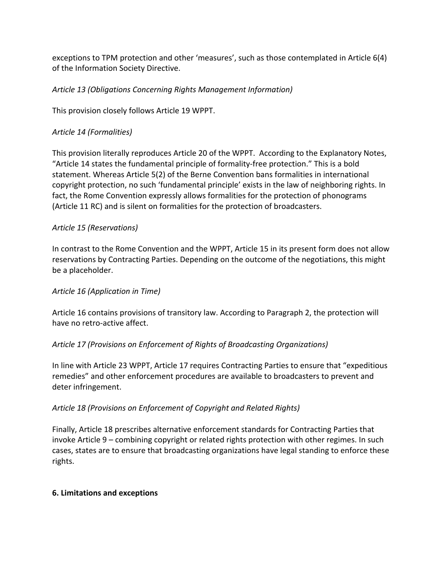exceptions to TPM protection and other 'measures', such as those contemplated in Article 6(4) of the Information Society Directive.

### *Article 13 (Obligations Concerning Rights Management Information)*

This provision closely follows Article 19 WPPT.

### *Article 14 (Formalities)*

This provision literally reproduces Article 20 of the WPPT. According to the Explanatory Notes, "Article 14 states the fundamental principle of formality-free protection." This is a bold statement. Whereas Article 5(2) of the Berne Convention bans formalities in international copyright protection, no such 'fundamental principle' exists in the law of neighboring rights. In fact, the Rome Convention expressly allows formalities for the protection of phonograms (Article 11 RC) and is silent on formalities for the protection of broadcasters.

### *Article 15 (Reservations)*

In contrast to the Rome Convention and the WPPT, Article 15 in its present form does not allow reservations by Contracting Parties. Depending on the outcome of the negotiations, this might be a placeholder.

### *Article 16 (Application in Time)*

Article 16 contains provisions of transitory law. According to Paragraph 2, the protection will have no retro-active affect.

## *Article 17 (Provisions on Enforcement of Rights of Broadcasting Organizations)*

In line with Article 23 WPPT, Article 17 requires Contracting Parties to ensure that "expeditious remedies" and other enforcement procedures are available to broadcasters to prevent and deter infringement.

### *Article 18 (Provisions on Enforcement of Copyright and Related Rights)*

Finally, Article 18 prescribes alternative enforcement standards for Contracting Parties that invoke Article 9 – combining copyright or related rights protection with other regimes. In such cases, states are to ensure that broadcasting organizations have legal standing to enforce these rights.

### **6. Limitations and exceptions**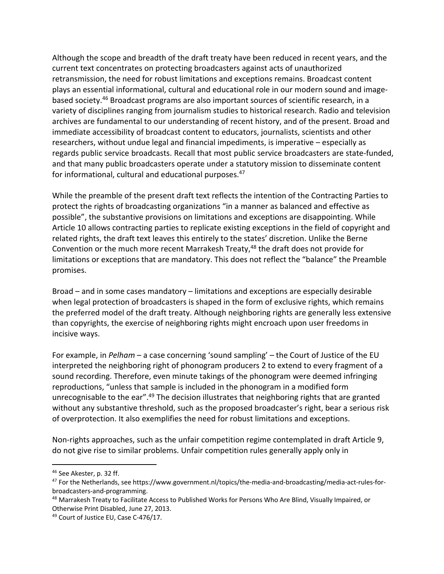Although the scope and breadth of the draft treaty have been reduced in recent years, and the current text concentrates on protecting broadcasters against acts of unauthorized retransmission, the need for robust limitations and exceptions remains. Broadcast content plays an essential informational, cultural and educational role in our modern sound and imagebased society.46 Broadcast programs are also important sources of scientific research, in a variety of disciplines ranging from journalism studies to historical research. Radio and television archives are fundamental to our understanding of recent history, and of the present. Broad and immediate accessibility of broadcast content to educators, journalists, scientists and other researchers, without undue legal and financial impediments, is imperative – especially as regards public service broadcasts. Recall that most public service broadcasters are state-funded, and that many public broadcasters operate under a statutory mission to disseminate content for informational, cultural and educational purposes.47

While the preamble of the present draft text reflects the intention of the Contracting Parties to protect the rights of broadcasting organizations "in a manner as balanced and effective as possible", the substantive provisions on limitations and exceptions are disappointing. While Article 10 allows contracting parties to replicate existing exceptions in the field of copyright and related rights, the draft text leaves this entirely to the states' discretion. Unlike the Berne Convention or the much more recent Marrakesh Treaty,<sup>48</sup> the draft does not provide for limitations or exceptions that are mandatory. This does not reflect the "balance" the Preamble promises.

Broad – and in some cases mandatory – limitations and exceptions are especially desirable when legal protection of broadcasters is shaped in the form of exclusive rights, which remains the preferred model of the draft treaty. Although neighboring rights are generally less extensive than copyrights, the exercise of neighboring rights might encroach upon user freedoms in incisive ways.

For example, in *Pelham* – a case concerning 'sound sampling' – the Court of Justice of the EU interpreted the neighboring right of phonogram producers 2 to extend to every fragment of a sound recording. Therefore, even minute takings of the phonogram were deemed infringing reproductions, "unless that sample is included in the phonogram in a modified form unrecognisable to the ear".<sup>49</sup> The decision illustrates that neighboring rights that are granted without any substantive threshold, such as the proposed broadcaster's right, bear a serious risk of overprotection. It also exemplifies the need for robust limitations and exceptions.

Non-rights approaches, such as the unfair competition regime contemplated in draft Article 9, do not give rise to similar problems. Unfair competition rules generally apply only in

<sup>49</sup> Court of Justice EU, Case C-476/17.

<sup>46</sup> See Akester, p. 32 ff.

<sup>47</sup> For the Netherlands, see https://www.government.nl/topics/the-media-and-broadcasting/media-act-rules-forbroadcasters-and-programming.

<sup>&</sup>lt;sup>48</sup> Marrakesh Treaty to Facilitate Access to Published Works for Persons Who Are Blind, Visually Impaired, or Otherwise Print Disabled, June 27, 2013.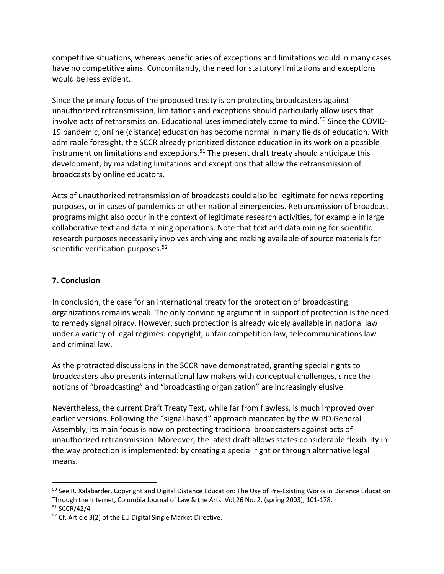competitive situations, whereas beneficiaries of exceptions and limitations would in many cases have no competitive aims. Concomitantly, the need for statutory limitations and exceptions would be less evident.

Since the primary focus of the proposed treaty is on protecting broadcasters against unauthorized retransmission, limitations and exceptions should particularly allow uses that involve acts of retransmission. Educational uses immediately come to mind.<sup>50</sup> Since the COVID-19 pandemic, online (distance) education has become normal in many fields of education. With admirable foresight, the SCCR already prioritized distance education in its work on a possible instrument on limitations and exceptions.<sup>51</sup> The present draft treaty should anticipate this development, by mandating limitations and exceptions that allow the retransmission of broadcasts by online educators.

Acts of unauthorized retransmission of broadcasts could also be legitimate for news reporting purposes, or in cases of pandemics or other national emergencies. Retransmission of broadcast programs might also occur in the context of legitimate research activities, for example in large collaborative text and data mining operations. Note that text and data mining for scientific research purposes necessarily involves archiving and making available of source materials for scientific verification purposes.<sup>52</sup>

### **7. Conclusion**

In conclusion, the case for an international treaty for the protection of broadcasting organizations remains weak. The only convincing argument in support of protection is the need to remedy signal piracy. However, such protection is already widely available in national law under a variety of legal regimes: copyright, unfair competition law, telecommunications law and criminal law.

As the protracted discussions in the SCCR have demonstrated, granting special rights to broadcasters also presents international law makers with conceptual challenges, since the notions of "broadcasting" and "broadcasting organization" are increasingly elusive.

Nevertheless, the current Draft Treaty Text, while far from flawless, is much improved over earlier versions. Following the "signal-based" approach mandated by the WIPO General Assembly, its main focus is now on protecting traditional broadcasters against acts of unauthorized retransmission. Moreover, the latest draft allows states considerable flexibility in the way protection is implemented: by creating a special right or through alternative legal means.

<sup>&</sup>lt;sup>50</sup> See R. Xalabarder, Copyright and Digital Distance Education: The Use of Pre-Existing Works in Distance Education Through the Internet, Columbia Journal of Law & the Arts. Vol,26 No. 2, (spring 2003), 101-178. <sup>51</sup> SCCR/42/4.

<sup>52</sup> Cf. Article 3(2) of the EU Digital Single Market Directive.